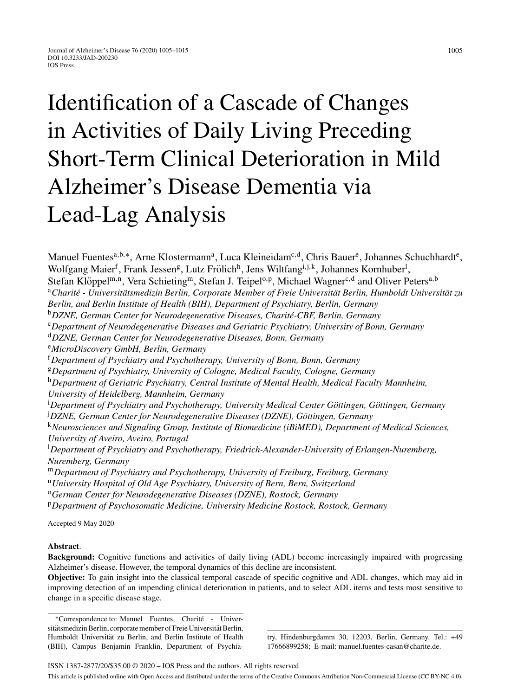# Identification of a Cascade of Changes in Activities of Daily Living Preceding Short-Term Clinical Deterioration in Mild Alzheimer's Disease Dementia via Lead-Lag Analysis

Manuel Fuentes<sup>a,b,∗</sup>, Arne Klostermann<sup>a</sup>, Luca Kleineidam<sup>c,d</sup>, Chris Bauer<sup>e</sup>, Johannes Schuchhardt<sup>e</sup>, Wolfgang Maier<sup>f</sup>, Frank Jessen<sup>g</sup>, Lutz Frölich<sup>h</sup>, Jens Wiltfang<sup>i, j, k</sup>, Johannes Kornhuber<sup>l</sup>, Stefan Klöppel<sup>m,n</sup>, Vera Schieting<sup>m</sup>, Stefan J. Teipel<sup>o,p</sup>, Michael Wagner<sup>c,d</sup> and Oliver Peters<sup>a,b</sup> <sup>a</sup>Charité - Universitätsmedizin Berlin, Corporate Member of Freie Universität Berlin, Humboldt Universität zu *Berlin, and Berlin Institute of Health (BIH), Department of Psychiatry, Berlin, Germany* <sup>b</sup>DZNE, German Center for Neurodegenerative Diseases, Charité-CBF, Berlin, Germany <sup>c</sup>*Department of Neurodegenerative Diseases and Geriatric Psychiatry, University of Bonn, Germany* <sup>d</sup>*DZNE, German Center for Neurodegenerative Diseases, Bonn, Germany* <sup>e</sup>*MicroDiscovery GmbH, Berlin, Germany* <sup>f</sup>*Department of Psychiatry and Psychotherapy, University of Bonn, Bonn, Germany* <sup>g</sup>*Department of Psychiatry, University of Cologne, Medical Faculty, Cologne, Germany* <sup>h</sup>*Department of Geriatric Psychiatry, Central Institute of Mental Health, Medical Faculty Mannheim, University of Heidelberg, Mannheim, Germany* <sup>i</sup> Department of Psychiatry and Psychotherapy, University Medical Center Göttingen, Göttingen, Germany <sup>j</sup> DZNE, German Center for Neurodegenerative Diseases (DZNE), Göttingen, Germany <sup>k</sup>*Neurosciences and Signaling Group, Institute of Biomedicine (iBiMED), Department of Medical Sciences, University of Aveiro, Aveiro, Portugal* l *Department of Psychiatry and Psychotherapy, Friedrich-Alexander-University of Erlangen-Nuremberg, Nuremberg, Germany* <sup>m</sup>*Department of Psychiatry and Psychotherapy, University of Freiburg, Freiburg, Germany* <sup>n</sup>*University Hospital of Old Age Psychiatry, University of Bern, Bern, Switzerland* <sup>o</sup>*German Center for Neurodegenerative Diseases (DZNE), Rostock, Germany*

<sup>p</sup>*Department of Psychosomatic Medicine, University Medicine Rostock, Rostock, Germany*

Accepted 9 May 2020

## **Abstract**.

**Background:** Cognitive functions and activities of daily living (ADL) become increasingly impaired with progressing Alzheimer's disease. However, the temporal dynamics of this decline are inconsistent.

**Objective:** To gain insight into the classical temporal cascade of specific cognitive and ADL changes, which may aid in improving detection of an impending clinical deterioration in patients, and to select ADL items and tests most sensitive to change in a specific disease stage.

∗Correspondence to: Manuel Fuentes, Charite - Univer- ´ sitätsmedizin Berlin, corporate member of Freie Universität Berlin, Humboldt Universität zu Berlin, and Berlin Institute of Health (BIH), Campus Benjamin Franklin, Department of Psychia-

try, Hindenburgdamm 30, 12203, Berlin, Germany. Tel.: +49 17666899258; E-mail: [manuel.fuentes-casan@charite.de](mailto:manuel.fuentes-casan@charite.de).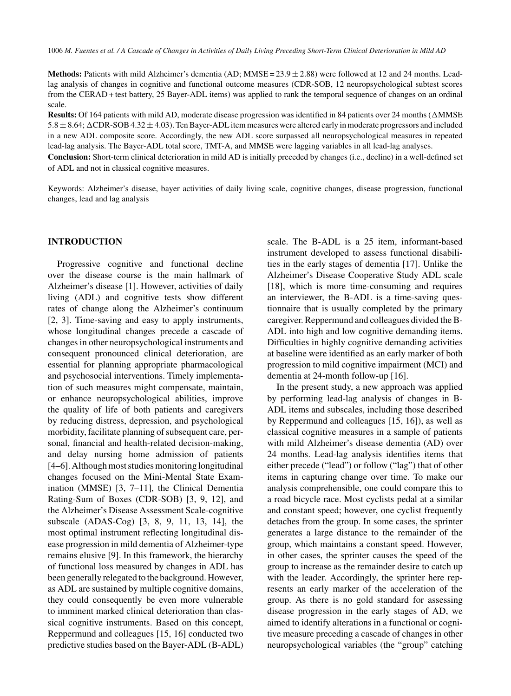**Methods:** Patients with mild Alzheimer's dementia (AD; MMSE = 23.9 ± 2.88) were followed at 12 and 24 months. Leadlag analysis of changes in cognitive and functional outcome measures (CDR-SOB, 12 neuropsychological subtest scores from the CERAD + test battery, 25 Bayer-ADL items) was applied to rank the temporal sequence of changes on an ordinal scale.

Results: Of 164 patients with mild AD, moderate disease progression was identified in 84 patients over 24 months ( $\triangle MMSE$  $5.8 \pm 8.64$ ;  $\Delta$ CDR-SOB 4.32  $\pm$  4.03). Ten Bayer-ADL item measures were altered early in moderate progressors and included in a new ADL composite score. Accordingly, the new ADL score surpassed all neuropsychological measures in repeated lead-lag analysis. The Bayer-ADL total score, TMT-A, and MMSE were lagging variables in all lead-lag analyses.

**Conclusion:** Short-term clinical deterioration in mild AD is initially preceded by changes (i.e., decline) in a well-defined set of ADL and not in classical cognitive measures.

Keywords: Alzheimer's disease, bayer activities of daily living scale, cognitive changes, disease progression, functional changes, lead and lag analysis

## **INTRODUCTION**

Progressive cognitive and functional decline over the disease course is the main hallmark of Alzheimer's disease [1]. However, activities of daily living (ADL) and cognitive tests show different rates of change along the Alzheimer's continuum [2, 3]. Time-saving and easy to apply instruments, whose longitudinal changes precede a cascade of changes in other neuropsychological instruments and consequent pronounced clinical deterioration, are essential for planning appropriate pharmacological and psychosocial interventions. Timely implementation of such measures might compensate, maintain, or enhance neuropsychological abilities, improve the quality of life of both patients and caregivers by reducing distress, depression, and psychological morbidity, facilitate planning of subsequent care, personal, financial and health-related decision-making, and delay nursing home admission of patients [4–6]. Although most studies monitoring longitudinal changes focused on the Mini-Mental State Examination (MMSE) [3, 7–11], the Clinical Dementia Rating-Sum of Boxes (CDR-SOB) [3, 9, 12], and the Alzheimer's Disease Assessment Scale-cognitive subscale (ADAS-Cog) [3, 8, 9, 11, 13, 14], the most optimal instrument reflecting longitudinal disease progression in mild dementia of Alzheimer-type remains elusive [9]. In this framework, the hierarchy of functional loss measured by changes in ADL has been generally relegated to the background. However, as ADL are sustained by multiple cognitive domains, they could consequently be even more vulnerable to imminent marked clinical deterioration than classical cognitive instruments. Based on this concept, Reppermund and colleagues [15, 16] conducted two predictive studies based on the Bayer-ADL (B-ADL)

scale. The B-ADL is a 25 item, informant-based instrument developed to assess functional disabilities in the early stages of dementia [17]. Unlike the Alzheimer's Disease Cooperative Study ADL scale [18], which is more time-consuming and requires an interviewer, the B-ADL is a time-saving questionnaire that is usually completed by the primary caregiver. Reppermund and colleagues divided the B-ADL into high and low cognitive demanding items. Difficulties in highly cognitive demanding activities at baseline were identified as an early marker of both progression to mild cognitive impairment (MCI) and dementia at 24-month follow-up [16].

In the present study, a new approach was applied by performing lead-lag analysis of changes in B-ADL items and subscales, including those described by Reppermund and colleagues [15, 16]), as well as classical cognitive measures in a sample of patients with mild Alzheimer's disease dementia (AD) over 24 months. Lead-lag analysis identifies items that either precede ("lead") or follow ("lag") that of other items in capturing change over time. To make our analysis comprehensible, one could compare this to a road bicycle race. Most cyclists pedal at a similar and constant speed; however, one cyclist frequently detaches from the group. In some cases, the sprinter generates a large distance to the remainder of the group, which maintains a constant speed. However, in other cases, the sprinter causes the speed of the group to increase as the remainder desire to catch up with the leader. Accordingly, the sprinter here represents an early marker of the acceleration of the group. As there is no gold standard for assessing disease progression in the early stages of AD, we aimed to identify alterations in a functional or cognitive measure preceding a cascade of changes in other neuropsychological variables (the "group" catching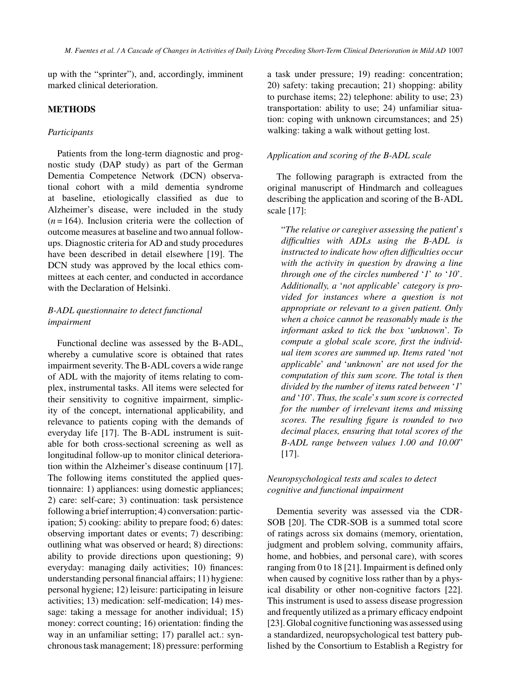up with the "sprinter"), and, accordingly, imminent marked clinical deterioration.

## **METHODS**

#### *Participants*

Patients from the long-term diagnostic and prognostic study (DAP study) as part of the German Dementia Competence Network (DCN) observational cohort with a mild dementia syndrome at baseline, etiologically classified as due to Alzheimer's disease, were included in the study  $(n=164)$ . Inclusion criteria were the collection of outcome measures at baseline and two annual followups. Diagnostic criteria for AD and study procedures have been described in detail elsewhere [19]. The DCN study was approved by the local ethics committees at each center, and conducted in accordance with the Declaration of Helsinki.

# *B-ADL questionnaire to detect functional impairment*

Functional decline was assessed by the B-ADL, whereby a cumulative score is obtained that rates impairment severity. The B-ADL covers a wide range of ADL with the majority of items relating to complex, instrumental tasks. All items were selected for their sensitivity to cognitive impairment, simplicity of the concept, international applicability, and relevance to patients coping with the demands of everyday life [17]. The B-ADL instrument is suitable for both cross-sectional screening as well as longitudinal follow-up to monitor clinical deterioration within the Alzheimer's disease continuum [17]. The following items constituted the applied questionnaire: 1) appliances: using domestic appliances; 2) care: self-care; 3) continuation: task persistence following a brief interruption; 4) conversation: participation; 5) cooking: ability to prepare food; 6) dates: observing important dates or events; 7) describing: outlining what was observed or heard; 8) directions: ability to provide directions upon questioning; 9) everyday: managing daily activities; 10) finances: understanding personal financial affairs; 11) hygiene: personal hygiene; 12) leisure: participating in leisure activities; 13) medication: self-medication; 14) message: taking a message for another individual; 15) money: correct counting; 16) orientation: finding the way in an unfamiliar setting; 17) parallel act.: synchronous task management; 18) pressure: performing a task under pressure; 19) reading: concentration; 20) safety: taking precaution; 21) shopping: ability to purchase items; 22) telephone: ability to use; 23) transportation: ability to use; 24) unfamiliar situation: coping with unknown circumstances; and 25) walking: taking a walk without getting lost.

## *Application and scoring of the B-ADL scale*

The following paragraph is extracted from the original manuscript of Hindmarch and colleagues describing the application and scoring of the B-ADL scale [17]:

"*The relative or caregiver assessing the patient*'*s difficulties with ADLs using the B-ADL is instructed to indicate how often difficulties occur with the activity in question by drawing a line through one of the circles numbered* '*1*' *to* '*10*'*. Additionally, a* '*not applicable*' *category is provided for instances where a question is not appropriate or relevant to a given patient. Only when a choice cannot be reasonably made is the informant asked to tick the box* '*unknown*'*. To compute a global scale score, first the individual item scores are summed up. Items rated* '*not applicable*' *and* '*unknown*' *are not used for the computation of this sum score. The total is then divided by the number of items rated between* '*1*' *and* '*10*'*. Thus, the scale*'*s sum score is corrected for the number of irrelevant items and missing scores. The resulting figure is rounded to two decimal places, ensuring that total scores of the B-ADL range between values 1.00 and 10.00*" [17].

# *Neuropsychological tests and scales to detect cognitive and functional impairment*

Dementia severity was assessed via the CDR-SOB [20]. The CDR-SOB is a summed total score of ratings across six domains (memory, orientation, judgment and problem solving, community affairs, home, and hobbies, and personal care), with scores ranging from 0 to 18 [21]. Impairment is defined only when caused by cognitive loss rather than by a physical disability or other non-cognitive factors [22]. This instrument is used to assess disease progression and frequently utilized as a primary efficacy endpoint [23]. Global cognitive functioning was assessed using a standardized, neuropsychological test battery published by the Consortium to Establish a Registry for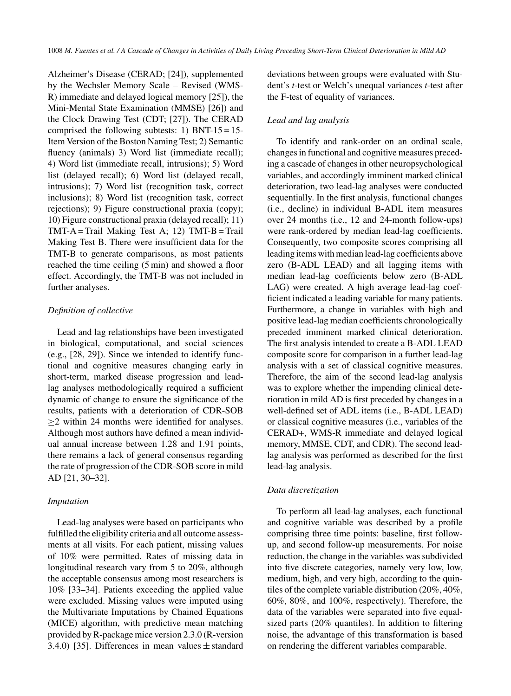Alzheimer's Disease (CERAD; [24]), supplemented by the Wechsler Memory Scale – Revised (WMS-R) immediate and delayed logical memory [25]), the Mini-Mental State Examination (MMSE) [26]) and the Clock Drawing Test (CDT; [27]). The CERAD comprised the following subtests: 1) BNT- $15 = 15$ -Item Version of the Boston Naming Test; 2) Semantic fluency (animals) 3) Word list (immediate recall); 4) Word list (immediate recall, intrusions); 5) Word list (delayed recall); 6) Word list (delayed recall, intrusions); 7) Word list (recognition task, correct inclusions); 8) Word list (recognition task, correct rejections); 9) Figure constructional praxia (copy); 10) Figure constructional praxia (delayed recall); 11)  $TMT-A = \text{Tail}$  Making Test A; 12)  $TMT-B = \text{Tail}$ Making Test B. There were insufficient data for the TMT-B to generate comparisons, as most patients reached the time ceiling (5 min) and showed a floor effect. Accordingly, the TMT-B was not included in further analyses.

## *Definition of collective*

Lead and lag relationships have been investigated in biological, computational, and social sciences (e.g., [28, 29]). Since we intended to identify functional and cognitive measures changing early in short-term, marked disease progression and leadlag analyses methodologically required a sufficient dynamic of change to ensure the significance of the results, patients with a deterioration of CDR-SOB ≥2 within 24 months were identified for analyses. Although most authors have defined a mean individual annual increase between 1.28 and 1.91 points, there remains a lack of general consensus regarding the rate of progression of the CDR-SOB score in mild AD [21, 30–32].

## *Imputation*

Lead-lag analyses were based on participants who fulfilled the eligibility criteria and all outcome assessments at all visits. For each patient, missing values of 10% were permitted. Rates of missing data in longitudinal research vary from 5 to 20%, although the acceptable consensus among most researchers is 10% [33–34]. Patients exceeding the applied value were excluded. Missing values were imputed using the Multivariate Imputations by Chained Equations (MICE) algorithm, with predictive mean matching provided by R-package mice version 2.3.0 (R-version 3.4.0) [35]. Differences in mean values  $\pm$  standard deviations between groups were evaluated with Student's *t*-test or Welch's unequal variances *t*-test after the F-test of equality of variances.

# *Lead and lag analysis*

To identify and rank-order on an ordinal scale, changes in functional and cognitive measures preceding a cascade of changes in other neuropsychological variables, and accordingly imminent marked clinical deterioration, two lead-lag analyses were conducted sequentially. In the first analysis, functional changes (i.e., decline) in individual B-ADL item measures over 24 months (i.e., 12 and 24-month follow-ups) were rank-ordered by median lead-lag coefficients. Consequently, two composite scores comprising all leading items with median lead-lag coefficients above zero (B-ADL LEAD) and all lagging items with median lead-lag coefficients below zero (B-ADL LAG) were created. A high average lead-lag coefficient indicated a leading variable for many patients. Furthermore, a change in variables with high and positive lead-lag median coefficients chronologically preceded imminent marked clinical deterioration. The first analysis intended to create a B-ADL LEAD composite score for comparison in a further lead-lag analysis with a set of classical cognitive measures. Therefore, the aim of the second lead-lag analysis was to explore whether the impending clinical deterioration in mild AD is first preceded by changes in a well-defined set of ADL items (i.e., B-ADL LEAD) or classical cognitive measures (i.e., variables of the CERAD+, WMS-R immediate and delayed logical memory, MMSE, CDT, and CDR). The second leadlag analysis was performed as described for the first lead-lag analysis.

## *Data discretization*

To perform all lead-lag analyses, each functional and cognitive variable was described by a profile comprising three time points: baseline, first followup, and second follow-up measurements. For noise reduction, the change in the variables was subdivided into five discrete categories, namely very low, low, medium, high, and very high, according to the quintiles of the complete variable distribution (20%, 40%, 60%, 80%, and 100%, respectively). Therefore, the data of the variables were separated into five equalsized parts (20% quantiles). In addition to filtering noise, the advantage of this transformation is based on rendering the different variables comparable.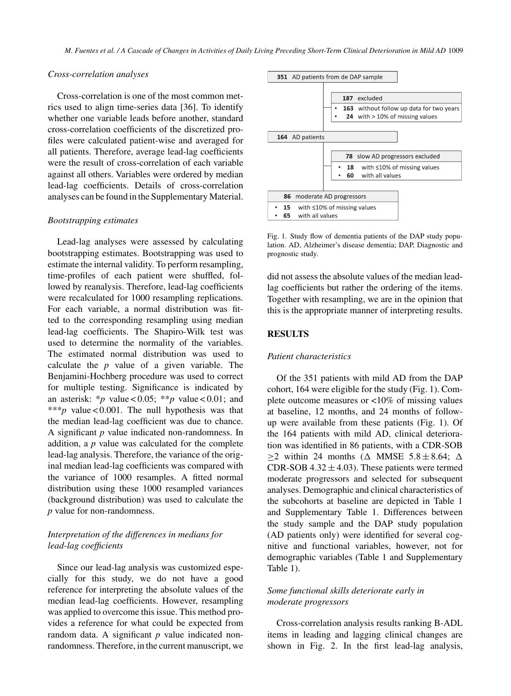#### *Cross-correlation analyses*

Cross-correlation is one of the most common metrics used to align time-series data [36]. To identify whether one variable leads before another, standard cross-correlation coefficients of the discretized profiles were calculated patient-wise and averaged for all patients. Therefore, average lead-lag coefficients were the result of cross-correlation of each variable against all others. Variables were ordered by median lead-lag coefficients. Details of cross-correlation analyses can be found in the Supplementary Material.

## *Bootstrapping estimates*

Lead-lag analyses were assessed by calculating bootstrapping estimates. Bootstrapping was used to estimate the internal validity. To perform resampling, time-profiles of each patient were shuffled, followed by reanalysis. Therefore, lead-lag coefficients were recalculated for 1000 resampling replications. For each variable, a normal distribution was fitted to the corresponding resampling using median lead-lag coefficients. The Shapiro-Wilk test was used to determine the normality of the variables. The estimated normal distribution was used to calculate the *p* value of a given variable. The Benjamini-Hochberg procedure was used to correct for multiple testing. Significance is indicated by an asterisk: \**p* value < 0.05; \*\**p* value < 0.01; and \*\*\**p* value < 0.001. The null hypothesis was that the median lead-lag coefficient was due to chance. A significant *p* value indicated non-randomness. In addition, a *p* value was calculated for the complete lead-lag analysis. Therefore, the variance of the original median lead-lag coefficients was compared with the variance of 1000 resamples. A fitted normal distribution using these 1000 resampled variances (background distribution) was used to calculate the *p* value for non-randomness.

# *Interpretation of the differences in medians for lead-lag coefficients*

Since our lead-lag analysis was customized especially for this study, we do not have a good reference for interpreting the absolute values of the median lead-lag coefficients. However, resampling was applied to overcome this issue. This method provides a reference for what could be expected from random data. A significant *p* value indicated nonrandomness. Therefore, in the current manuscript, we



Fig. 1. Study flow of dementia patients of the DAP study population. AD, Alzheimer's disease dementia; DAP, Diagnostic and prognostic study.

did not assess the absolute values of the median leadlag coefficients but rather the ordering of the items. Together with resampling, we are in the opinion that this is the appropriate manner of interpreting results.

## **RESULTS**

# *Patient characteristics*

Of the 351 patients with mild AD from the DAP cohort, 164 were eligible for the study (Fig. 1). Complete outcome measures or <10% of missing values at baseline, 12 months, and 24 months of followup were available from these patients (Fig. 1). Of the 164 patients with mild AD, clinical deterioration was identified in 86 patients, with a CDR-SOB  $\geq$ 2 within 24 months ( $\triangle$  MMSE 5.8 ± 8.64;  $\triangle$ CDR-SOB  $4.32 \pm 4.03$ ). These patients were termed moderate progressors and selected for subsequent analyses. Demographic and clinical characteristics of the subcohorts at baseline are depicted in Table 1 and Supplementary Table 1. Differences between the study sample and the DAP study population (AD patients only) were identified for several cognitive and functional variables, however, not for demographic variables (Table 1 and Supplementary Table 1).

# *Some functional skills deteriorate early in moderate progressors*

Cross-correlation analysis results ranking B-ADL items in leading and lagging clinical changes are shown in Fig. 2. In the first lead-lag analysis,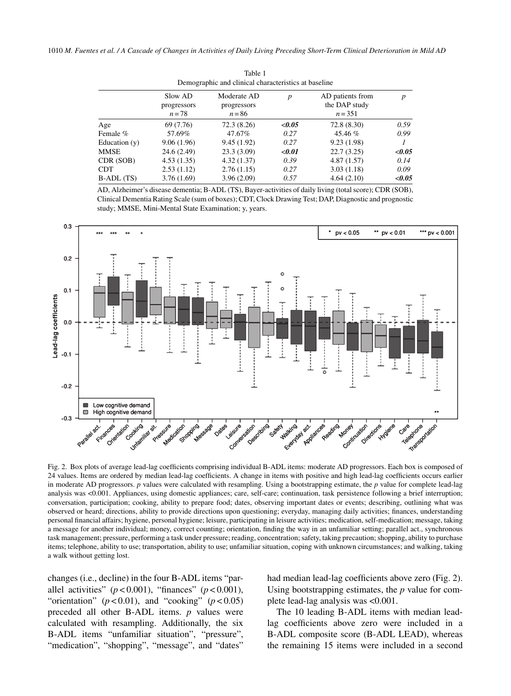1010 *M. Fuentes et al. / A Cascade of Changes in Activities of Daily Living Preceding Short-Term Clinical Deterioration in Mild AD*

| Demographic and clinical characteristics at baseline |                                    |                                        |                  |                                                |                  |
|------------------------------------------------------|------------------------------------|----------------------------------------|------------------|------------------------------------------------|------------------|
|                                                      | Slow AD<br>progressors<br>$n = 78$ | Moderate AD<br>progressors<br>$n = 86$ | $\boldsymbol{p}$ | AD patients from<br>the DAP study<br>$n = 351$ | $\boldsymbol{p}$ |
| Age                                                  | 69 (7.76)                          | 72.3(8.26)                             | < 0.05           | 72.8(8.30)                                     | 0.59             |
| Female %                                             | 57.69%                             | 47.67%                                 | 0.27             | 45.46 %                                        | 0.99             |
| Education $(y)$                                      | 9.06(1.96)                         | 9.45(1.92)                             | 0.27             | 9.23(1.98)                                     |                  |
| MMSE                                                 | 24.6 (2.49)                        | 23.3(3.09)                             | $0.01$           | 22.7(3.25)                                     | < 0.05           |
| CDR (SOB)                                            | 4.53(1.35)                         | 4.32(1.37)                             | 0.39             | 4.87(1.57)                                     | 0.14             |
| <b>CDT</b>                                           | 2.53(1.12)                         | 2.76(1.15)                             | 0.27             | 3.03(1.18)                                     | 0.09             |
| B-ADL (TS)                                           | 3.76(1.69)                         | 3.96(2.09)                             | 0.57             | 4.64(2.10)                                     | < 0.05           |

Table 1

AD, Alzheimer's disease dementia; B-ADL (TS), Bayer-activities of daily living (total score); CDR (SOB), Clinical Dementia Rating Scale (sum of boxes); CDT, Clock Drawing Test; DAP, Diagnostic and prognostic study; MMSE, Mini-Mental State Examination; y, years.



Fig. 2. Box plots of average lead-lag coefficients comprising individual B-ADL items: moderate AD progressors. Each box is composed of 24 values. Items are ordered by median lead-lag coefficients. A change in items with positive and high lead-lag coefficients occurs earlier in moderate AD progressors. *p* values were calculated with resampling. Using a bootstrapping estimate, the *p* value for complete lead-lag analysis was <0.001. Appliances, using domestic appliances; care, self-care; continuation, task persistence following a brief interruption; conversation, participation; cooking, ability to prepare food; dates, observing important dates or events; describing, outlining what was observed or heard; directions, ability to provide directions upon questioning; everyday, managing daily activities; finances, understanding personal financial affairs; hygiene, personal hygiene; leisure, participating in leisure activities; medication, self-medication; message, taking a message for another individual; money, correct counting; orientation, finding the way in an unfamiliar setting; parallel act., synchronous task management; pressure, performing a task under pressure; reading, concentration; safety, taking precaution; shopping, ability to purchase items; telephone, ability to use; transportation, ability to use; unfamiliar situation, coping with unknown circumstances; and walking, taking a walk without getting lost.

changes (i.e., decline) in the four B-ADL items "parallel activities"  $(p < 0.001)$ , "finances"  $(p < 0.001)$ , "orientation"  $(p < 0.01)$ , and "cooking"  $(p < 0.05)$ preceded all other B-ADL items. *p* values were calculated with resampling. Additionally, the six B-ADL items "unfamiliar situation", "pressure", "medication", "shopping", "message", and "dates"

had median lead-lag coefficients above zero (Fig. 2). Using bootstrapping estimates, the *p* value for complete lead-lag analysis was <0.001.

The 10 leading B-ADL items with median leadlag coefficients above zero were included in a B-ADL composite score (B-ADL LEAD), whereas the remaining 15 items were included in a second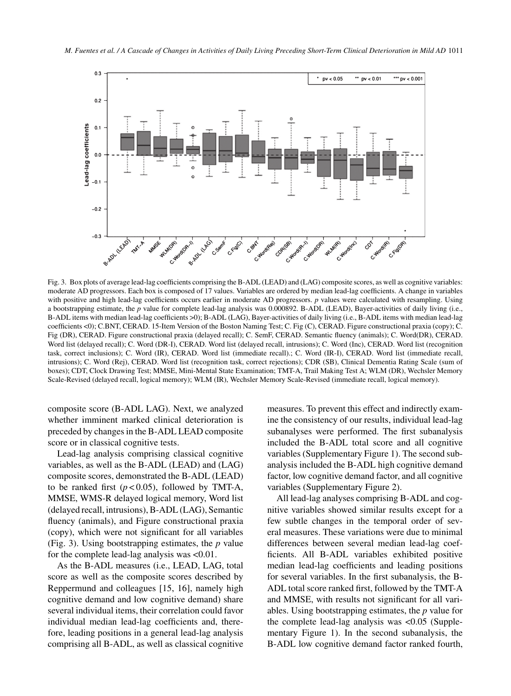

Fig. 3. Box plots of average lead-lag coefficients comprising the B-ADL (LEAD) and (LAG) composite scores, as well as cognitive variables: moderate AD progressors. Each box is composed of 17 values. Variables are ordered by median lead-lag coefficients. A change in variables with positive and high lead-lag coefficients occurs earlier in moderate AD progressors. *p* values were calculated with resampling. Using a bootstrapping estimate, the *p* value for complete lead-lag analysis was 0.000892. B-ADL (LEAD), Bayer-activities of daily living (i.e., B-ADL items with median lead-lag coefficients >0); B-ADL (LAG), Bayer-activities of daily living (i.e., B-ADL items with median lead-lag coefficients <0); C.BNT, CERAD. 15-Item Version of the Boston Naming Test; C. Fig (C), CERAD. Figure constructional praxia (copy); C. Fig (DR), CERAD. Figure constructional praxia (delayed recall); C. SemF, CERAD. Semantic fluency (animals); C. Word(DR), CERAD. Word list (delayed recall); C. Word (DR-I), CERAD. Word list (delayed recall, intrusions); C. Word (Inc), CERAD. Word list (recognition task, correct inclusions); C. Word (IR), CERAD. Word list (immediate recall).; C. Word (IR-I), CERAD. Word list (immediate recall, intrusions); C. Word (Rej), CERAD. Word list (recognition task, correct rejections); CDR (SB), Clinical Dementia Rating Scale (sum of boxes); CDT, Clock Drawing Test; MMSE, Mini-Mental State Examination; TMT-A, Trail Making Test A; WLM (DR), Wechsler Memory Scale-Revised (delayed recall, logical memory); WLM (IR), Wechsler Memory Scale-Revised (immediate recall, logical memory).

composite score (B-ADL LAG). Next, we analyzed whether imminent marked clinical deterioration is preceded by changes in the B-ADL LEAD composite score or in classical cognitive tests.

Lead-lag analysis comprising classical cognitive variables, as well as the B-ADL (LEAD) and (LAG) composite scores, demonstrated the B-ADL (LEAD) to be ranked first  $(p < 0.05)$ , followed by TMT-A, MMSE, WMS-R delayed logical memory, Word list (delayed recall, intrusions), B-ADL (LAG), Semantic fluency (animals), and Figure constructional praxia (copy), which were not significant for all variables (Fig. 3). Using bootstrapping estimates, the *p* value for the complete lead-lag analysis was <0.01.

As the B-ADL measures (i.e., LEAD, LAG, total score as well as the composite scores described by Reppermund and colleagues [15, 16], namely high cognitive demand and low cognitive demand) share several individual items, their correlation could favor individual median lead-lag coefficients and, therefore, leading positions in a general lead-lag analysis comprising all B-ADL, as well as classical cognitive

measures. To prevent this effect and indirectly examine the consistency of our results, individual lead-lag subanalyses were performed. The first subanalysis included the B-ADL total score and all cognitive variables (Supplementary Figure 1). The second subanalysis included the B-ADL high cognitive demand factor, low cognitive demand factor, and all cognitive variables (Supplementary Figure 2).

All lead-lag analyses comprising B-ADL and cognitive variables showed similar results except for a few subtle changes in the temporal order of several measures. These variations were due to minimal differences between several median lead-lag coefficients. All B-ADL variables exhibited positive median lead-lag coefficients and leading positions for several variables. In the first subanalysis, the B-ADL total score ranked first, followed by the TMT-A and MMSE, with results not significant for all variables. Using bootstrapping estimates, the *p* value for the complete lead-lag analysis was <0.05 (Supplementary Figure 1). In the second subanalysis, the B-ADL low cognitive demand factor ranked fourth,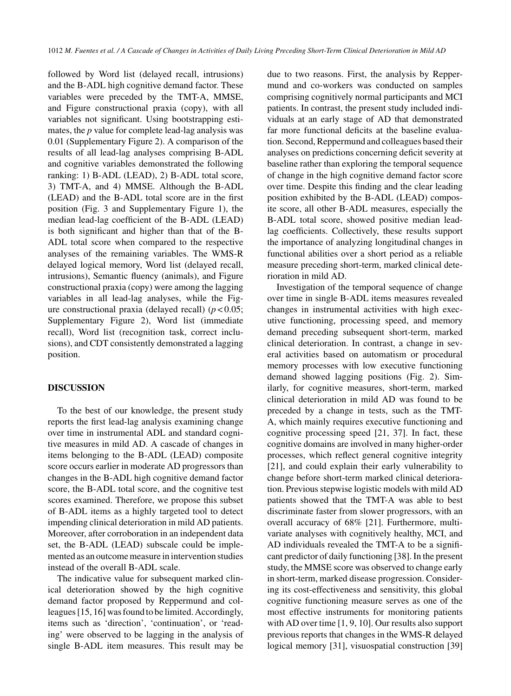followed by Word list (delayed recall, intrusions) and the B-ADL high cognitive demand factor. These variables were preceded by the TMT-A, MMSE, and Figure constructional praxia (copy), with all variables not significant. Using bootstrapping estimates, the *p* value for complete lead-lag analysis was 0.01 (Supplementary Figure 2). A comparison of the results of all lead-lag analyses comprising B-ADL and cognitive variables demonstrated the following ranking: 1) B-ADL (LEAD), 2) B-ADL total score, 3) TMT-A, and 4) MMSE. Although the B-ADL (LEAD) and the B-ADL total score are in the first position (Fig. 3 and Supplementary Figure 1), the median lead-lag coefficient of the B-ADL (LEAD) is both significant and higher than that of the B-ADL total score when compared to the respective analyses of the remaining variables. The WMS-R delayed logical memory, Word list (delayed recall, intrusions), Semantic fluency (animals), and Figure constructional praxia (copy) were among the lagging variables in all lead-lag analyses, while the Figure constructional praxia (delayed recall)  $(p < 0.05)$ ; Supplementary Figure 2), Word list (immediate recall), Word list (recognition task, correct inclusions), and CDT consistently demonstrated a lagging position.

## **DISCUSSION**

To the best of our knowledge, the present study reports the first lead-lag analysis examining change over time in instrumental ADL and standard cognitive measures in mild AD. A cascade of changes in items belonging to the B-ADL (LEAD) composite score occurs earlier in moderate AD progressors than changes in the B-ADL high cognitive demand factor score, the B-ADL total score, and the cognitive test scores examined. Therefore, we propose this subset of B-ADL items as a highly targeted tool to detect impending clinical deterioration in mild AD patients. Moreover, after corroboration in an independent data set, the B-ADL (LEAD) subscale could be implemented as an outcome measure in intervention studies instead of the overall B-ADL scale.

The indicative value for subsequent marked clinical deterioration showed by the high cognitive demand factor proposed by Reppermund and colleagues [15, 16] was found to be limited. Accordingly, items such as 'direction', 'continuation', or 'reading' were observed to be lagging in the analysis of single B-ADL item measures. This result may be

due to two reasons. First, the analysis by Reppermund and co-workers was conducted on samples comprising cognitively normal participants and MCI patients. In contrast, the present study included individuals at an early stage of AD that demonstrated far more functional deficits at the baseline evaluation. Second, Reppermund and colleagues based their analyses on predictions concerning deficit severity at baseline rather than exploring the temporal sequence of change in the high cognitive demand factor score over time. Despite this finding and the clear leading position exhibited by the B-ADL (LEAD) composite score, all other B-ADL measures, especially the B-ADL total score, showed positive median leadlag coefficients. Collectively, these results support the importance of analyzing longitudinal changes in functional abilities over a short period as a reliable measure preceding short-term, marked clinical deterioration in mild AD.

Investigation of the temporal sequence of change over time in single B-ADL items measures revealed changes in instrumental activities with high executive functioning, processing speed, and memory demand preceding subsequent short-term, marked clinical deterioration. In contrast, a change in several activities based on automatism or procedural memory processes with low executive functioning demand showed lagging positions (Fig. 2). Similarly, for cognitive measures, short-term, marked clinical deterioration in mild AD was found to be preceded by a change in tests, such as the TMT-A, which mainly requires executive functioning and cognitive processing speed [21, 37]. In fact, these cognitive domains are involved in many higher-order processes, which reflect general cognitive integrity [21], and could explain their early vulnerability to change before short-term marked clinical deterioration. Previous stepwise logistic models with mild AD patients showed that the TMT-A was able to best discriminate faster from slower progressors, with an overall accuracy of 68% [21]. Furthermore, multivariate analyses with cognitively healthy, MCI, and AD individuals revealed the TMT-A to be a significant predictor of daily functioning [38]. In the present study, the MMSE score was observed to change early in short-term, marked disease progression. Considering its cost-effectiveness and sensitivity, this global cognitive functioning measure serves as one of the most effective instruments for monitoring patients with AD over time [1, 9, 10]. Our results also support previous reports that changes in the WMS-R delayed logical memory [31], visuospatial construction [39]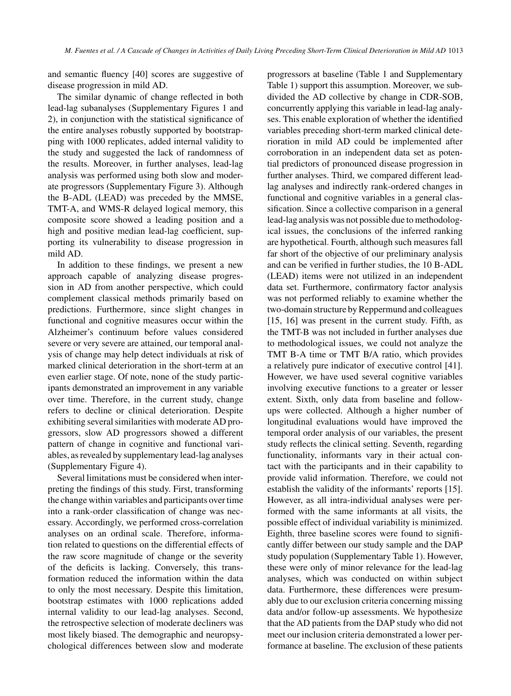and semantic fluency [40] scores are suggestive of disease progression in mild AD.

The similar dynamic of change reflected in both lead-lag subanalyses (Supplementary Figures 1 and 2), in conjunction with the statistical significance of the entire analyses robustly supported by bootstrapping with 1000 replicates, added internal validity to the study and suggested the lack of randomness of the results. Moreover, in further analyses, lead-lag analysis was performed using both slow and moderate progressors (Supplementary Figure 3). Although the B-ADL (LEAD) was preceded by the MMSE, TMT-A, and WMS-R delayed logical memory, this composite score showed a leading position and a high and positive median lead-lag coefficient, supporting its vulnerability to disease progression in mild AD.

In addition to these findings, we present a new approach capable of analyzing disease progression in AD from another perspective, which could complement classical methods primarily based on predictions. Furthermore, since slight changes in functional and cognitive measures occur within the Alzheimer's continuum before values considered severe or very severe are attained, our temporal analysis of change may help detect individuals at risk of marked clinical deterioration in the short-term at an even earlier stage. Of note, none of the study participants demonstrated an improvement in any variable over time. Therefore, in the current study, change refers to decline or clinical deterioration. Despite exhibiting several similarities with moderate AD progressors, slow AD progressors showed a different pattern of change in cognitive and functional variables, as revealed by supplementary lead-lag analyses (Supplementary Figure 4).

Several limitations must be considered when interpreting the findings of this study. First, transforming the change within variables and participants over time into a rank-order classification of change was necessary. Accordingly, we performed cross-correlation analyses on an ordinal scale. Therefore, information related to questions on the differential effects of the raw score magnitude of change or the severity of the deficits is lacking. Conversely, this transformation reduced the information within the data to only the most necessary. Despite this limitation, bootstrap estimates with 1000 replications added internal validity to our lead-lag analyses. Second, the retrospective selection of moderate decliners was most likely biased. The demographic and neuropsychological differences between slow and moderate

progressors at baseline (Table 1 and Supplementary Table 1) support this assumption. Moreover, we subdivided the AD collective by change in CDR-SOB, concurrently applying this variable in lead-lag analyses. This enable exploration of whether the identified variables preceding short-term marked clinical deterioration in mild AD could be implemented after corroboration in an independent data set as potential predictors of pronounced disease progression in further analyses. Third, we compared different leadlag analyses and indirectly rank-ordered changes in functional and cognitive variables in a general classification. Since a collective comparison in a general lead-lag analysis was not possible due to methodological issues, the conclusions of the inferred ranking are hypothetical. Fourth, although such measures fall far short of the objective of our preliminary analysis and can be verified in further studies, the 10 B-ADL (LEAD) items were not utilized in an independent data set. Furthermore, confirmatory factor analysis was not performed reliably to examine whether the two-domain structure by Reppermund and colleagues [15, 16] was present in the current study. Fifth, as the TMT-B was not included in further analyses due to methodological issues, we could not analyze the TMT B-A time or TMT B/A ratio, which provides a relatively pure indicator of executive control [41]. However, we have used several cognitive variables involving executive functions to a greater or lesser extent. Sixth, only data from baseline and followups were collected. Although a higher number of longitudinal evaluations would have improved the temporal order analysis of our variables, the present study reflects the clinical setting. Seventh, regarding functionality, informants vary in their actual contact with the participants and in their capability to provide valid information. Therefore, we could not establish the validity of the informants' reports [15]. However, as all intra-individual analyses were performed with the same informants at all visits, the possible effect of individual variability is minimized. Eighth, three baseline scores were found to significantly differ between our study sample and the DAP study population (Supplementary Table 1). However, these were only of minor relevance for the lead-lag analyses, which was conducted on within subject data. Furthermore, these differences were presumably due to our exclusion criteria concerning missing data and/or follow-up assessments. We hypothesize that the AD patients from the DAP study who did not meet our inclusion criteria demonstrated a lower performance at baseline. The exclusion of these patients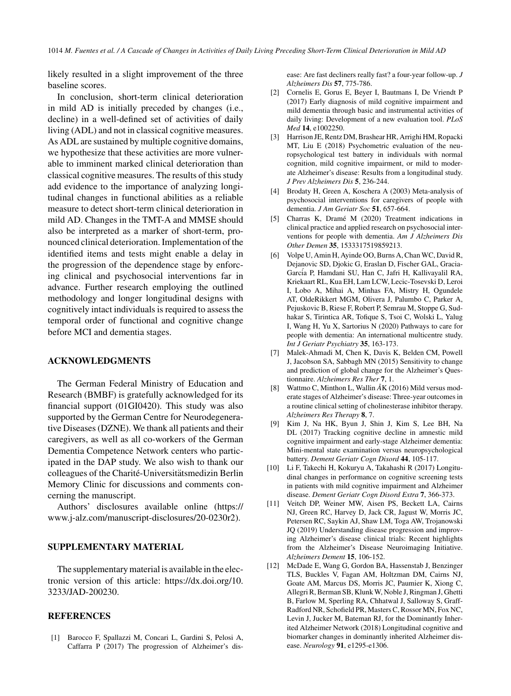likely resulted in a slight improvement of the three baseline scores.

In conclusion, short-term clinical deterioration in mild AD is initially preceded by changes (i.e., decline) in a well-defined set of activities of daily living (ADL) and not in classical cognitive measures. As ADL are sustained by multiple cognitive domains, we hypothesize that these activities are more vulnerable to imminent marked clinical deterioration than classical cognitive measures. The results of this study add evidence to the importance of analyzing longitudinal changes in functional abilities as a reliable measure to detect short-term clinical deterioration in mild AD. Changes in the TMT-A and MMSE should also be interpreted as a marker of short-term, pronounced clinical deterioration. Implementation of the identified items and tests might enable a delay in the progression of the dependence stage by enforcing clinical and psychosocial interventions far in advance. Further research employing the outlined methodology and longer longitudinal designs with cognitively intact individuals is required to assess the temporal order of functional and cognitive change before MCI and dementia stages.

#### **ACKNOWLEDGMENTS**

The German Federal Ministry of Education and Research (BMBF) is gratefully acknowledged for its financial support (01GI0420). This study was also supported by the German Centre for Neurodegenerative Diseases (DZNE). We thank all patients and their caregivers, as well as all co-workers of the German Dementia Competence Network centers who participated in the DAP study. We also wish to thank our colleagues of the Charité-Universitätsmedizin Berlin Memory Clinic for discussions and comments concerning the manuscript.

Authors' disclosures available online ([https://](https://www.j-alz.com/manuscript-disclosures/20-0230r2) [www.j-alz.com/manuscript-disclosures/20-0230r2\)](https://www.j-alz.com/manuscript-disclosures/20-0230r2).

#### **SUPPLEMENTARY MATERIAL**

The supplementary material is available in the electronic version of this article: [https://dx.doi.org/10.](https://dx.doi.org/10.3233/JAD-200230) [3233/JAD-200230.](https://dx.doi.org/10.3233/JAD-200230)

## **REFERENCES**

[1] Barocco F, Spallazzi M, Concari L, Gardini S, Pelosi A, Caffarra P (2017) The progression of Alzheimer's disease: Are fast decliners really fast? a four-year follow-up. *J Alzheimers Dis* **57**, 775-786.

- [2] Cornelis E, Gorus E, Beyer I, Bautmans I, De Vriendt P (2017) Early diagnosis of mild cognitive impairment and mild dementia through basic and instrumental activities of daily living: Development of a new evaluation tool. *PLoS Med* **14**, e1002250.
- [3] Harrison JE, Rentz DM, Brashear HR, Arrighi HM, Ropacki MT, Liu E (2018) Psychometric evaluation of the neuropsychological test battery in individuals with normal cognition, mild cognitive impairment, or mild to moderate Alzheimer's disease: Results from a longitudinal study. *J Prev Alzheimers Dis* **5**, 236-244.
- [4] Brodaty H, Green A, Koschera A (2003) Meta-analysis of psychosocial interventions for caregivers of people with dementia. *J Am Geriatr Soc* **51**, 657-664.
- [5] Charras K, Dramé M (2020) Treatment indications in clinical practice and applied research on psychosocial interventions for people with dementia. *Am J Alzheimers Dis Other Demen* **35**, 1533317519859213.
- [6] Volpe U, Amin H, Ayinde OO, Burns A, Chan WC, David R, Dejanovic SD, Djokic G, Eraslan D, Fischer GAL, Gracia-Garc´ia P, Hamdani SU, Han C, Jafri H, Kallivayalil RA, Kriekaart RL, Kua EH, Lam LCW, Lecic-Tosevski D, Leroi I, Lobo A, Mihai A, Minhas FA, Mistry H, Ogundele AT, OldeRikkert MGM, Olivera J, Palumbo C, Parker A, Pejuskovic B, Riese F, Robert P, Semrau M, Stoppe G, Sudhakar S, Tirintica AR, Tofique S, Tsoi C, Wolski L, Yalug I, Wang H, Yu X, Sartorius N (2020) Pathways to care for people with dementia: An international multicentre study. *Int J Geriatr Psychiatry* **35**, 163-173.
- [7] Malek-Ahmadi M, Chen K, Davis K, Belden CM, Powell J, Jacobson SA, Sabbagh MN (2015) Sensitivity to change and prediction of global change for the Alzheimer's Questionnaire. *Alzheimers Res Ther* **7**, 1.
- [8] Wattmo C, Minthon L, Wallin *A˚*K (2016) Mild versus moderate stages of Alzheimer's disease: Three-year outcomes in a routine clinical setting of cholinesterase inhibitor therapy. *Alzheimers Res Therapy* **8**, 7.
- [9] Kim J, Na HK, Byun J, Shin J, Kim S, Lee BH, Na DL (2017) Tracking cognitive decline in amnestic mild cognitive impairment and early-stage Alzheimer dementia: Mini-mental state examination versus neuropsychological battery. *Dement Geriatr Cogn Disord* **44**, 105-117.
- [10] Li F, Takechi H, Kokuryu A, Takahashi R (2017) Longitudinal changes in performance on cognitive screening tests in patients with mild cognitive impairment and Alzheimer disease. *Dement Geriatr Cogn Disord Extra* **7**, 366-373.
- [11] Veitch DP, Weiner MW, Aisen PS, Beckett LA, Cairns NJ, Green RC, Harvey D, Jack CR, Jagust W, Morris JC, Petersen RC, Saykin AJ, Shaw LM, Toga AW, Trojanowski JQ (2019) Understanding disease progression and improving Alzheimer's disease clinical trials: Recent highlights from the Alzheimer's Disease Neuroimaging Initiative. *Alzheimers Dement* **15**, 106-152.
- [12] McDade E, Wang G, Gordon BA, Hassenstab J, Benzinger TLS, Buckles V, Fagan AM, Holtzman DM, Cairns NJ, Goate AM, Marcus DS, Morris JC, Paumier K, Xiong C, Allegri R, Berman SB, Klunk W, Noble J, Ringman J, Ghetti B, Farlow M, Sperling RA, Chhatwal J, Salloway S, Graff-Radford NR, Schofield PR, Masters C, Rossor MN, Fox NC, Levin J, Jucker M, Bateman RJ, for the Dominantly Inherited Alzheimer Network (2018) Longitudinal cognitive and biomarker changes in dominantly inherited Alzheimer disease. *Neurology* **91**, e1295-e1306.